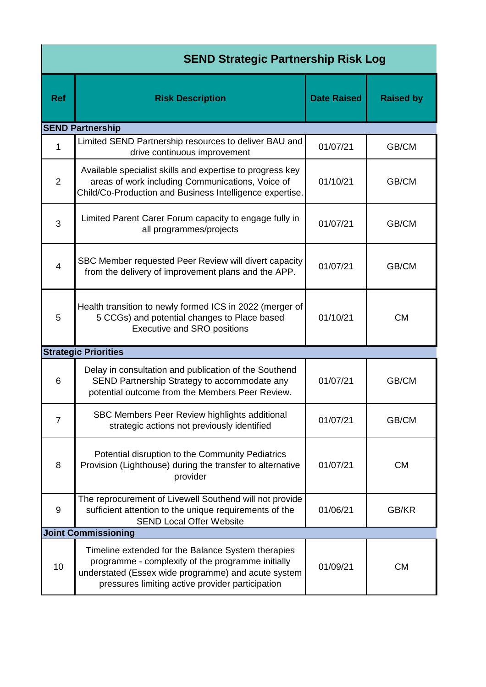| <b>SEND Strategic Partnership Risk Log</b> |                                                                                                                                                                                                                    |                    |           |  |  |  |  |
|--------------------------------------------|--------------------------------------------------------------------------------------------------------------------------------------------------------------------------------------------------------------------|--------------------|-----------|--|--|--|--|
| <b>Ref</b>                                 | <b>Risk Description</b>                                                                                                                                                                                            | <b>Date Raised</b> |           |  |  |  |  |
|                                            | <b>SEND Partnership</b>                                                                                                                                                                                            |                    |           |  |  |  |  |
| 1                                          | Limited SEND Partnership resources to deliver BAU and<br>drive continuous improvement                                                                                                                              | 01/07/21           | GB/CM     |  |  |  |  |
| $\overline{2}$                             | Available specialist skills and expertise to progress key<br>areas of work including Communications, Voice of<br>01/10/21<br>Child/Co-Production and Business Intelligence expertise.                              |                    | GB/CM     |  |  |  |  |
| 3                                          | Limited Parent Carer Forum capacity to engage fully in<br>all programmes/projects                                                                                                                                  | 01/07/21           | GB/CM     |  |  |  |  |
| $\overline{4}$                             | SBC Member requested Peer Review will divert capacity<br>from the delivery of improvement plans and the APP.                                                                                                       | 01/07/21           | GB/CM     |  |  |  |  |
| 5                                          | Health transition to newly formed ICS in 2022 (merger of<br>5 CCGs) and potential changes to Place based<br><b>Executive and SRO positions</b>                                                                     | 01/10/21           | <b>CM</b> |  |  |  |  |
|                                            | <b>Strategic Priorities</b>                                                                                                                                                                                        |                    |           |  |  |  |  |
| 6                                          | Delay in consultation and publication of the Southend<br>SEND Partnership Strategy to accommodate any<br>potential outcome from the Members Peer Review.                                                           | 01/07/21           | GB/CM     |  |  |  |  |
| $\overline{7}$                             | SBC Members Peer Review highlights additional<br>strategic actions not previously identified                                                                                                                       | 01/07/21           | GB/CM     |  |  |  |  |
| 8                                          | Potential disruption to the Community Pediatrics<br>Provision (Lighthouse) during the transfer to alternative<br>provider                                                                                          | 01/07/21           | <b>CM</b> |  |  |  |  |
| $\boldsymbol{9}$                           | The reprocurement of Livewell Southend will not provide<br>sufficient attention to the unique requirements of the<br><b>SEND Local Offer Website</b>                                                               | 01/06/21           | GB/KR     |  |  |  |  |
|                                            | <b>Joint Commissioning</b>                                                                                                                                                                                         |                    |           |  |  |  |  |
| 10                                         | Timeline extended for the Balance System therapies<br>programme - complexity of the programme initially<br>understated (Essex wide programme) and acute system<br>pressures limiting active provider participation | 01/09/21           | <b>CM</b> |  |  |  |  |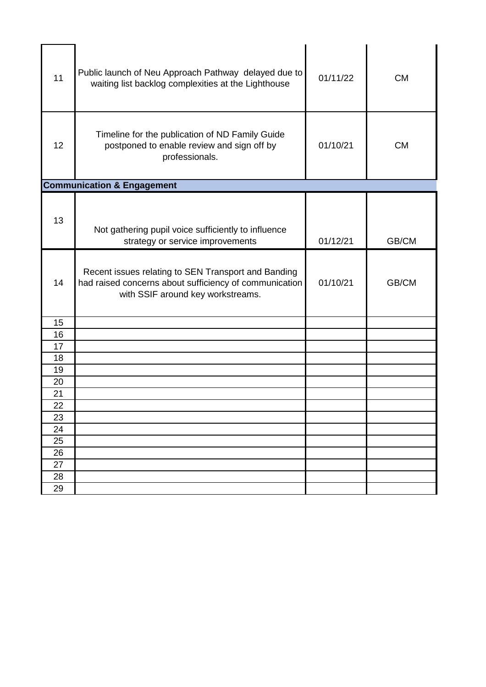| 11       | Public launch of Neu Approach Pathway delayed due to<br>waiting list backlog complexities at the Lighthouse                                        | 01/11/22 | <b>CM</b> |
|----------|----------------------------------------------------------------------------------------------------------------------------------------------------|----------|-----------|
| 12       | Timeline for the publication of ND Family Guide<br>postponed to enable review and sign off by<br>professionals.                                    | 01/10/21 | <b>CM</b> |
|          | <b>Communication &amp; Engagement</b>                                                                                                              |          |           |
| 13       | Not gathering pupil voice sufficiently to influence<br>strategy or service improvements                                                            | 01/12/21 | GB/CM     |
| 14       | Recent issues relating to SEN Transport and Banding<br>had raised concerns about sufficiency of communication<br>with SSIF around key workstreams. | 01/10/21 | GB/CM     |
| 15       |                                                                                                                                                    |          |           |
| 16       |                                                                                                                                                    |          |           |
| 17       |                                                                                                                                                    |          |           |
| 18       |                                                                                                                                                    |          |           |
| 19       |                                                                                                                                                    |          |           |
| 20       |                                                                                                                                                    |          |           |
| 21<br>22 |                                                                                                                                                    |          |           |
| 23       |                                                                                                                                                    |          |           |
| 24       |                                                                                                                                                    |          |           |
| 25       |                                                                                                                                                    |          |           |
| 26       |                                                                                                                                                    |          |           |
| 27       |                                                                                                                                                    |          |           |
| 28       |                                                                                                                                                    |          |           |
| 29       |                                                                                                                                                    |          |           |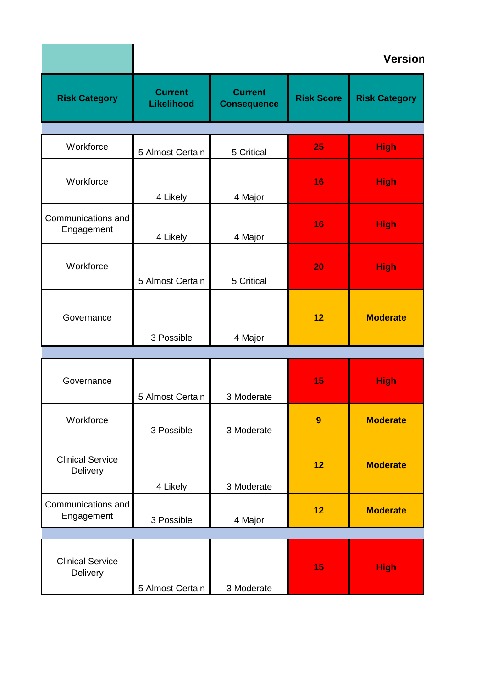|                                     |                              |                                      |                   | Version              |
|-------------------------------------|------------------------------|--------------------------------------|-------------------|----------------------|
| <b>Risk Category</b>                | <b>Current</b><br>Likelihood | <b>Current</b><br><b>Consequence</b> | <b>Risk Score</b> | <b>Risk Category</b> |
| Workforce                           | 5 Almost Certain             | 5 Critical                           | 25                | <b>High</b>          |
| Workforce                           | 4 Likely                     | 4 Major                              | 16                | <b>High</b>          |
| Communications and<br>Engagement    | 4 Likely                     | 4 Major                              | 16                | <b>High</b>          |
| Workforce                           | 5 Almost Certain             | 5 Critical                           | <b>20</b>         | <b>High</b>          |
| Governance                          |                              |                                      | 12                | <b>Moderate</b>      |
|                                     | 3 Possible                   | 4 Major                              |                   |                      |
| Governance                          | 5 Almost Certain             | 3 Moderate                           | 15                | <b>High</b>          |
| Workforce                           | 3 Possible                   | 3 Moderate                           | 9                 | <b>Moderate</b>      |
| <b>Clinical Service</b><br>Delivery |                              |                                      | 12                | <b>Moderate</b>      |
| Communications and<br>Engagement    | 4 Likely<br>3 Possible       | 3 Moderate<br>4 Major                | 12                | <b>Moderate</b>      |
|                                     |                              |                                      |                   |                      |
| <b>Clinical Service</b><br>Delivery | 5 Almost Certain             | 3 Moderate                           | 15                | <b>High</b>          |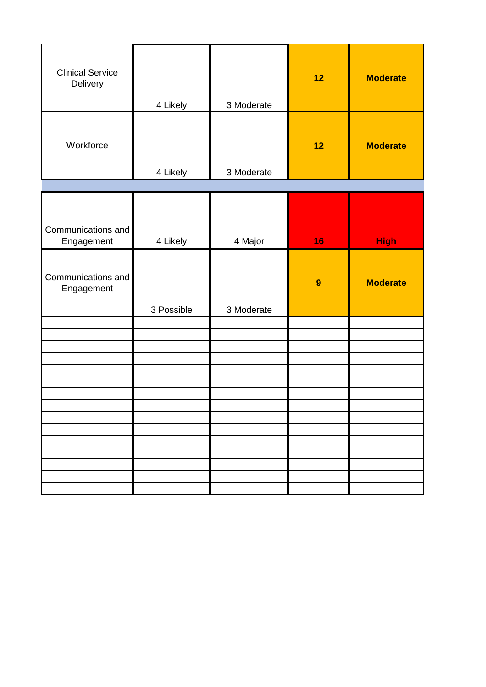| <b>Clinical Service</b><br>Delivery | 4 Likely   | 3 Moderate | 12 | <b>Moderate</b> |
|-------------------------------------|------------|------------|----|-----------------|
| Workforce                           | 4 Likely   | 3 Moderate | 12 | <b>Moderate</b> |
|                                     |            |            |    |                 |
| Communications and<br>Engagement    | 4 Likely   | 4 Major    | 16 | <b>High</b>     |
| Communications and<br>Engagement    | 3 Possible | 3 Moderate | 9  | <b>Moderate</b> |
|                                     |            |            |    |                 |
|                                     |            |            |    |                 |
|                                     |            |            |    |                 |
|                                     |            |            |    |                 |
|                                     |            |            |    |                 |
|                                     |            |            |    |                 |
|                                     |            |            |    |                 |
|                                     |            |            |    |                 |
|                                     |            |            |    |                 |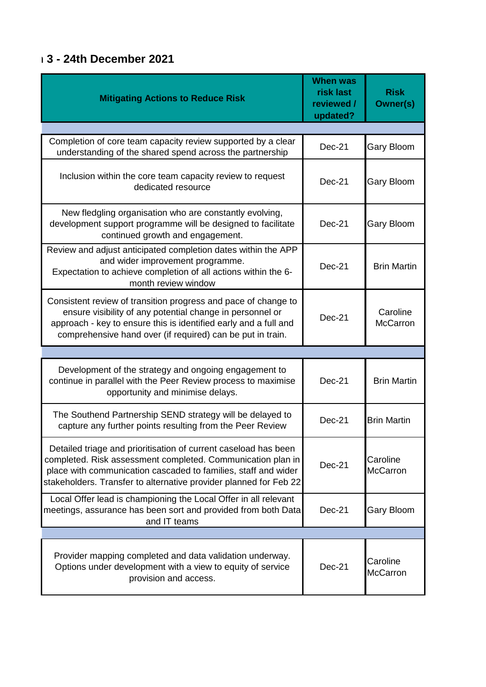## **Version 3 - 24th December 2021**

| <b>Mitigating Actions to Reduce Risk</b>                                                                                                                                                                                                                              | <b>When was</b><br>risk last<br>reviewed /<br>updated? | <b>Risk</b><br><b>Owner(s)</b> |
|-----------------------------------------------------------------------------------------------------------------------------------------------------------------------------------------------------------------------------------------------------------------------|--------------------------------------------------------|--------------------------------|
|                                                                                                                                                                                                                                                                       |                                                        |                                |
| Completion of core team capacity review supported by a clear<br>understanding of the shared spend across the partnership                                                                                                                                              | <b>Dec-21</b>                                          | <b>Gary Bloom</b>              |
| Inclusion within the core team capacity review to request<br>dedicated resource                                                                                                                                                                                       | $Dec-21$                                               | <b>Gary Bloom</b>              |
| New fledgling organisation who are constantly evolving,<br>development support programme will be designed to facilitate<br>continued growth and engagement.                                                                                                           | $Dec-21$                                               | <b>Gary Bloom</b>              |
| Review and adjust anticipated completion dates within the APP<br>and wider improvement programme.<br>Expectation to achieve completion of all actions within the 6-<br>month review window                                                                            | $Dec-21$                                               | <b>Brin Martin</b>             |
| Consistent review of transition progress and pace of change to<br>ensure visibility of any potential change in personnel or<br>approach - key to ensure this is identified early and a full and<br>comprehensive hand over (if required) can be put in train.         | $Dec-21$                                               | Caroline<br><b>McCarron</b>    |
|                                                                                                                                                                                                                                                                       |                                                        |                                |
| Development of the strategy and ongoing engagement to<br>continue in parallel with the Peer Review process to maximise<br>opportunity and minimise delays.                                                                                                            | $Dec-21$                                               | <b>Brin Martin</b>             |
| The Southend Partnership SEND strategy will be delayed to<br>capture any further points resulting from the Peer Review                                                                                                                                                | Dec-21                                                 | <b>Brin Martin</b>             |
| Detailed triage and prioritisation of current caseload has been<br>completed. Risk assessment completed. Communication plan in<br>place with communication cascaded to families, staff and wider<br>stakeholders. Transfer to alternative provider planned for Feb 22 | $Dec-21$                                               | Caroline<br><b>McCarron</b>    |
| Local Offer lead is championing the Local Offer in all relevant<br>meetings, assurance has been sort and provided from both Data<br>and IT teams                                                                                                                      | Dec-21                                                 | <b>Gary Bloom</b>              |
|                                                                                                                                                                                                                                                                       |                                                        |                                |
| Provider mapping completed and data validation underway.<br>Options under development with a view to equity of service<br>provision and access.                                                                                                                       | Dec-21                                                 | Caroline<br><b>McCarron</b>    |